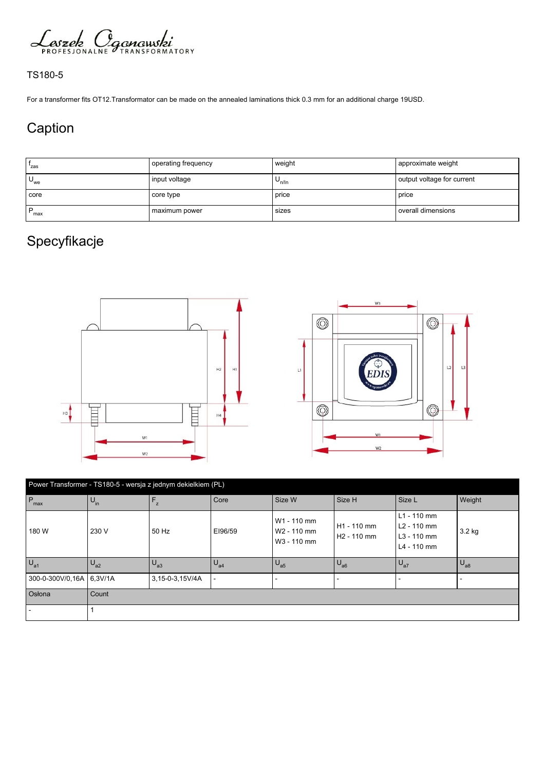

## TS180-5

For a transformer fits OT12.Transformator can be made on the annealed laminations thick 0.3 mm for an additional charge 19USD.

## Caption

| 'zas     | operating frequency | weight     | approximate weight         |  |
|----------|---------------------|------------|----------------------------|--|
| $U_{we}$ | input voltage       | $U_{n/ln}$ | output voltage for current |  |
| core     | core type           | price      | l price                    |  |
| P<br>max | maximum power       | sizes      | l overall dimensions       |  |

## Specyfikacje





| Power Transformer - TS180-5 - wersja z jednym dekielkiem (PL) |                 |                 |                          |                                                       |                                                    |                                                                                    |              |  |
|---------------------------------------------------------------|-----------------|-----------------|--------------------------|-------------------------------------------------------|----------------------------------------------------|------------------------------------------------------------------------------------|--------------|--|
| $P_{\text{max}}$                                              | $U_{\text{in}}$ | $F_z$           | Core                     | Size W                                                | Size H                                             | Size L                                                                             | Weight       |  |
| 180 W                                                         | 230 V           | 50 Hz           | EI96/59                  | W1 - 110 mm<br>W <sub>2</sub> - 110 mm<br>W3 - 110 mm | H <sub>1</sub> - 110 mm<br>H <sub>2</sub> - 110 mm | $L1 - 110$ mm<br>L <sub>2</sub> - 110 mm<br>L <sub>3</sub> - 110 mm<br>L4 - 110 mm | 3.2 kg       |  |
| $U_{a1}$                                                      | $U_{a2}$        | $U_{a3}$        | $U_{a4}$                 | $U_{a5}$                                              | $U_{a6}$                                           | $\big  \bigcup_{a7}$                                                               | $U_{\rm a8}$ |  |
| 300-0-300V/0.16A 6.3V/1A                                      |                 | 3,15-0-3,15V/4A | $\overline{\phantom{a}}$ |                                                       |                                                    |                                                                                    |              |  |
| Osłona                                                        | Count           |                 |                          |                                                       |                                                    |                                                                                    |              |  |
|                                                               |                 |                 |                          |                                                       |                                                    |                                                                                    |              |  |